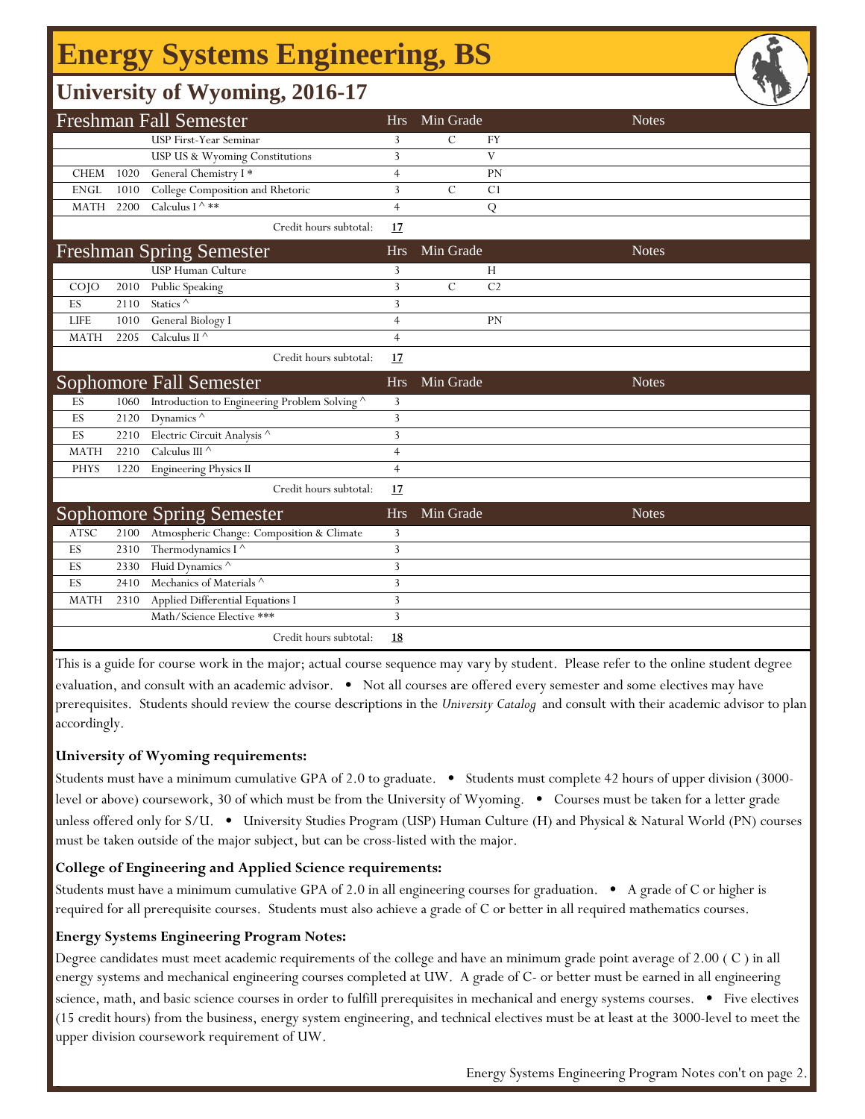# **Energy Systems Engineering, BS**

## **University of Wyoming, 2016-17**

|             |      | <b>Freshman Fall Semester</b>               | <b>Hrs</b>     | Min Grade     |                | <b>Notes</b> |
|-------------|------|---------------------------------------------|----------------|---------------|----------------|--------------|
|             |      | USP First-Year Seminar                      | 3              | $\mathcal{C}$ | <b>FY</b>      |              |
|             |      | USP US & Wyoming Constitutions              | 3              |               | V              |              |
| <b>CHEM</b> | 1020 | General Chemistry I*                        | $\overline{4}$ |               | PN             |              |
| <b>ENGL</b> | 1010 | College Composition and Rhetoric            | 3              | $\mathcal{C}$ | C <sub>1</sub> |              |
| <b>MATH</b> | 2200 | Calculus I ^ **                             | $\overline{4}$ |               | Q              |              |
|             |      | Credit hours subtotal:                      | 17             |               |                |              |
|             |      | <b>Freshman Spring Semester</b>             | <b>Hrs</b>     | Min Grade     |                | <b>Notes</b> |
|             |      | <b>USP Human Culture</b>                    | 3              |               | H              |              |
| COJO        |      | 2010 Public Speaking                        | 3              | $\mathcal{C}$ | C <sub>2</sub> |              |
| ES          | 2110 | Statics <sup><math>\wedge</math></sup>      | 3              |               |                |              |
| <b>LIFE</b> | 1010 | General Biology I                           | $\overline{4}$ |               | PN             |              |
| <b>MATH</b> | 2205 | Calculus II $\wedge$                        | $\overline{4}$ |               |                |              |
|             |      | Credit hours subtotal:                      | 17             |               |                |              |
|             |      | <b>Sophomore Fall Semester</b>              | <b>Hrs</b>     | Min Grade     |                | <b>Notes</b> |
| ES          | 1060 | Introduction to Engineering Problem Solving | 3              |               |                |              |
| ES          | 2120 | Dynamics $\wedge$                           | 3              |               |                |              |
| ES          | 2210 | Electric Circuit Analysis ^                 | 3              |               |                |              |
| <b>MATH</b> | 2210 | Calculus III $\wedge$                       | $\overline{4}$ |               |                |              |
| <b>PHYS</b> | 1220 | <b>Engineering Physics II</b>               | $\overline{4}$ |               |                |              |
|             |      | Credit hours subtotal:                      | 17             |               |                |              |
|             |      | Sophomore Spring Semester                   | <b>Hrs</b>     | Min Grade     |                | <b>Notes</b> |
| <b>ATSC</b> | 2100 | Atmospheric Change: Composition & Climate   | 3              |               |                |              |
| ES          | 2310 | Thermodynamics I ^                          | 3              |               |                |              |
| ES          | 2330 | Fluid Dynamics ^                            | 3              |               |                |              |
| ES          | 2410 | Mechanics of Materials ^                    | 3              |               |                |              |
| <b>MATH</b> | 2310 | Applied Differential Equations I            | 3              |               |                |              |
|             |      | Math/Science Elective ***                   | $\overline{3}$ |               |                |              |
|             |      | Credit hours subtotal:                      | <u>18</u>      |               |                |              |

This is a guide for course work in the major; actual course sequence may vary by student. Please refer to the online student degree evaluation, and consult with an academic advisor. • Not all courses are offered every semester and some electives may have prerequisites. Students should review the course descriptions in the *University Catalog* and consult with their academic advisor to plan accordingly.

#### **University of Wyoming requirements:**

Students must have a minimum cumulative GPA of 2.0 to graduate. • Students must complete 42 hours of upper division (3000 level or above) coursework, 30 of which must be from the University of Wyoming. • Courses must be taken for a letter grade unless offered only for S/U. • University Studies Program (USP) Human Culture (H) and Physical & Natural World (PN) courses must be taken outside of the major subject, but can be cross-listed with the major.

### **College of Engineering and Applied Science requirements:**

Students must have a minimum cumulative GPA of 2.0 in all engineering courses for graduation. • A grade of C or higher is required for all prerequisite courses. Students must also achieve a grade of C or better in all required mathematics courses.

#### **Energy Systems Engineering Program Notes:**

f

Degree candidates must meet academic requirements of the college and have an minimum grade point average of 2.00 ( C ) in all energy systems and mechanical engineering courses completed at UW. A grade of C- or better must be earned in all engineering science, math, and basic science courses in order to fulfill prerequisites in mechanical and energy systems courses. • Five electives (15 credit hours) from the business, energy system engineering, and technical electives must be at least at the 3000-level to meet the upper division coursework requirement of UW.

Energy Systems Engineering Program Notes con't on page 2.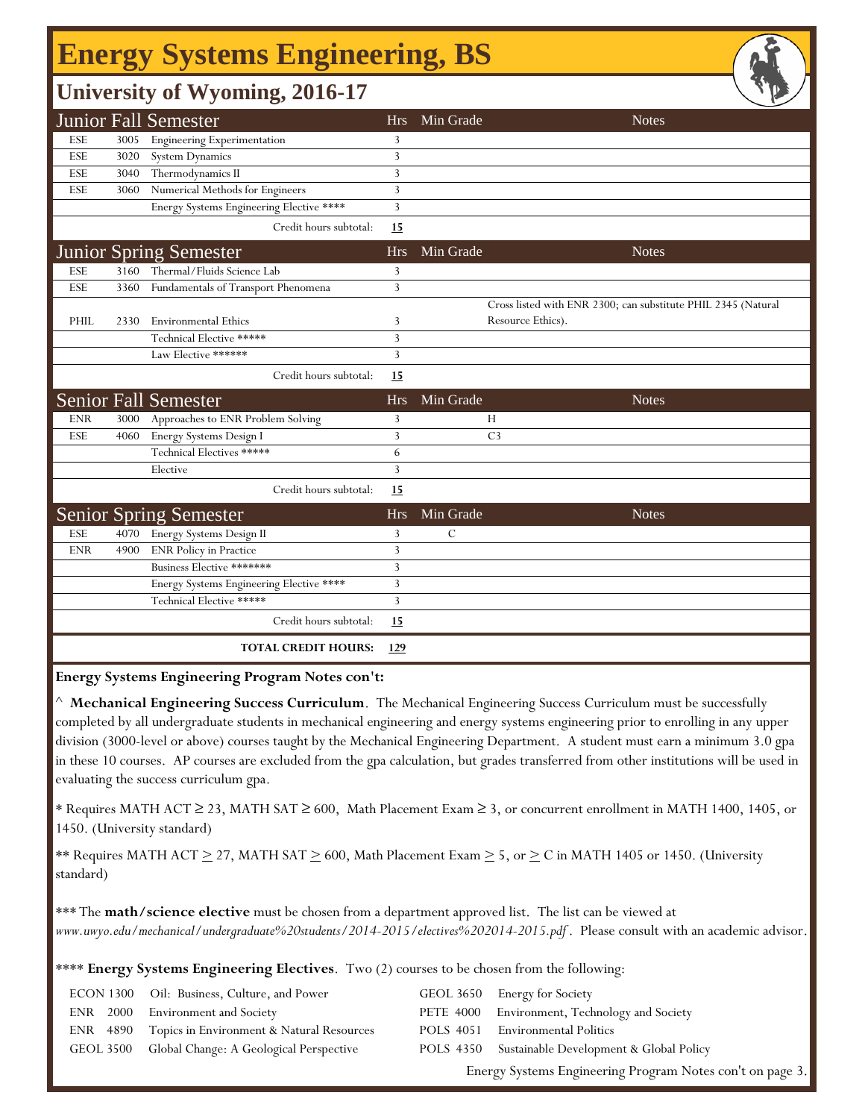## **Energy Systems Engineering, BS**

## **University of Wyoming, 2016-17**

|            |      | <b>Junior Fall Semester</b>              | <b>Hrs</b> | Min Grade<br><b>Notes</b>                                     |
|------------|------|------------------------------------------|------------|---------------------------------------------------------------|
| ESE        | 3005 | <b>Engineering Experimentation</b>       | 3          |                                                               |
| ESE        | 3020 | <b>System Dynamics</b>                   | 3          |                                                               |
| ESE        | 3040 | Thermodynamics II                        | 3          |                                                               |
| ESE        | 3060 | Numerical Methods for Engineers          | 3          |                                                               |
|            |      | Energy Systems Engineering Elective **** | 3          |                                                               |
|            |      | Credit hours subtotal:                   | 15         |                                                               |
|            |      | <b>Junior Spring Semester</b>            | <b>Hrs</b> | Min Grade<br><b>Notes</b>                                     |
| <b>ESE</b> | 3160 | Thermal/Fluids Science Lab               | 3          |                                                               |
| <b>ESE</b> | 3360 | Fundamentals of Transport Phenomena      | 3          |                                                               |
|            |      |                                          |            | Cross listed with ENR 2300; can substitute PHIL 2345 (Natural |
| PHIL       | 2330 | <b>Environmental Ethics</b>              | 3          | Resource Ethics).                                             |
|            |      | Technical Elective *****                 | 3          |                                                               |
|            |      | Law Elective ******                      | 3          |                                                               |
|            |      | Credit hours subtotal:                   | 15         |                                                               |
|            |      | <b>Senior Fall Semester</b>              | <b>Hrs</b> | Min Grade<br><b>Notes</b>                                     |
| <b>ENR</b> | 3000 | Approaches to ENR Problem Solving        | 3          | Н                                                             |
| <b>ESE</b> | 4060 | Energy Systems Design I                  | 3          | C <sub>3</sub>                                                |
|            |      | Technical Electives *****                | 6          |                                                               |
|            |      | Elective                                 | 3          |                                                               |
|            |      | Credit hours subtotal:                   | 15         |                                                               |
|            |      | <b>Senior Spring Semester</b>            | <b>Hrs</b> | Min Grade<br><b>Notes</b>                                     |
| <b>ESE</b> | 4070 | Energy Systems Design II                 | 3          | $\mathcal{C}$                                                 |
| <b>ENR</b> | 4900 | <b>ENR Policy in Practice</b>            | 3          |                                                               |
|            |      | Business Elective *******                | 3          |                                                               |
|            |      | Energy Systems Engineering Elective **** | 3          |                                                               |
|            |      | Technical Elective *****                 | 3          |                                                               |
|            |      | Credit hours subtotal:                   | 15         |                                                               |
|            |      | <b>TOTAL CREDIT HOURS:</b>               | 129        |                                                               |

**Energy Systems Engineering Program Notes con't:**

^ **Mechanical Engineering Success Curriculum**. The Mechanical Engineering Success Curriculum must be successfully completed by all undergraduate students in mechanical engineering and energy systems engineering prior to enrolling in any upper division (3000-level or above) courses taught by the Mechanical Engineering Department. A student must earn a minimum 3.0 gpa in these 10 courses. AP courses are excluded from the gpa calculation, but grades transferred from other institutions will be used in evaluating the success curriculum gpa.

\* Requires MATH ACT ≥ 23, MATH SAT ≥ 600, Math Placement Exam ≥ 3, or concurrent enrollment in MATH 1400, 1405, or 1450. (University standard)

\*\* Requires MATH ACT  $\geq$  27, MATH SAT  $\geq$  600, Math Placement Exam  $\geq$  5, or  $\geq$  C in MATH 1405 or 1450. (University standard)

\*\*\* The **math/science elective** must be chosen from a department approved list. The list can be viewed at *www.uwyo.edu/mechanical/undergraduate%20students/2014-2015/electives%202014-2015.pdf* . Please consult with an academic advisor.

\*\*\*\* **Energy Systems Engineering Electives**. Two (2) courses to be chosen from the following:

|  | ECON 1300 Oil: Business, Culture, and Power        | GEOL 3650 Energy for Society                             |
|--|----------------------------------------------------|----------------------------------------------------------|
|  | ENR 2000 Environment and Society                   | PETE 4000 Environment, Technology and Society            |
|  |                                                    |                                                          |
|  | ENR 4890 Topics in Environment & Natural Resources | POLS 4051 Environmental Politics                         |
|  | GEOL 3500 Global Change: A Geological Perspective  | POLS 4350 Sustainable Development & Global Policy        |
|  |                                                    | Energy Systems Engineering Program Notes con't on page 3 |